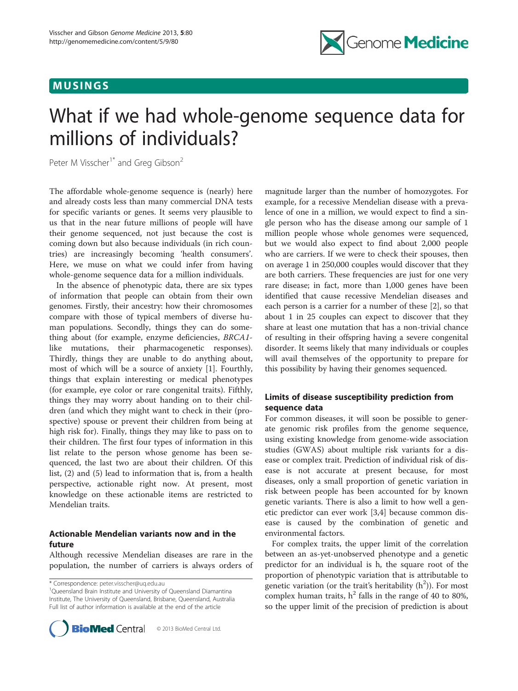## MUSINGS



# What if we had whole-genome sequence data for millions of individuals?

Peter M Visscher<sup>1\*</sup> and Greg Gibson<sup>2</sup>

The affordable whole-genome sequence is (nearly) here and already costs less than many commercial DNA tests for specific variants or genes. It seems very plausible to us that in the near future millions of people will have their genome sequenced, not just because the cost is coming down but also because individuals (in rich countries) are increasingly becoming 'health consumers'. Here, we muse on what we could infer from having whole-genome sequence data for a million individuals.

In the absence of phenotypic data, there are six types of information that people can obtain from their own genomes. Firstly, their ancestry: how their chromosomes compare with those of typical members of diverse human populations. Secondly, things they can do something about (for example, enzyme deficiencies, BRCA1 like mutations, their pharmacogenetic responses). Thirdly, things they are unable to do anything about, most of which will be a source of anxiety [[1\]](#page-2-0). Fourthly, things that explain interesting or medical phenotypes (for example, eye color or rare congenital traits). Fifthly, things they may worry about handing on to their children (and which they might want to check in their (prospective) spouse or prevent their children from being at high risk for). Finally, things they may like to pass on to their children. The first four types of information in this list relate to the person whose genome has been sequenced, the last two are about their children. Of this list, (2) and (5) lead to information that is, from a health perspective, actionable right now. At present, most knowledge on these actionable items are restricted to Mendelian traits.

## Actionable Mendelian variants now and in the future

Although recessive Mendelian diseases are rare in the population, the number of carriers is always orders of

\* Correspondence: [peter.visscher@uq.edu.au](mailto:peter.visscher@uq.edu.au) <sup>1</sup>

<sup>&</sup>lt;sup>1</sup>Queensland Brain Institute and University of Queensland Diamantina Institute, The University of Queensland, Brisbane, Queensland, Australia Full list of author information is available at the end of the article



magnitude larger than the number of homozygotes. For example, for a recessive Mendelian disease with a prevalence of one in a million, we would expect to find a single person who has the disease among our sample of 1 million people whose whole genomes were sequenced, but we would also expect to find about 2,000 people who are carriers. If we were to check their spouses, then on average 1 in 250,000 couples would discover that they are both carriers. These frequencies are just for one very rare disease; in fact, more than 1,000 genes have been identified that cause recessive Mendelian diseases and each person is a carrier for a number of these [[2\]](#page-2-0), so that about 1 in 25 couples can expect to discover that they share at least one mutation that has a non-trivial chance of resulting in their offspring having a severe congenital disorder. It seems likely that many individuals or couples will avail themselves of the opportunity to prepare for this possibility by having their genomes sequenced.

## Limits of disease susceptibility prediction from sequence data

For common diseases, it will soon be possible to generate genomic risk profiles from the genome sequence, using existing knowledge from genome-wide association studies (GWAS) about multiple risk variants for a disease or complex trait. Prediction of individual risk of disease is not accurate at present because, for most diseases, only a small proportion of genetic variation in risk between people has been accounted for by known genetic variants. There is also a limit to how well a genetic predictor can ever work [\[3,4](#page-2-0)] because common disease is caused by the combination of genetic and environmental factors.

For complex traits, the upper limit of the correlation between an as-yet-unobserved phenotype and a genetic predictor for an individual is h, the square root of the proportion of phenotypic variation that is attributable to genetic variation (or the trait's heritability  $(h^2)$ ). For most complex human traits,  $h^2$  falls in the range of 40 to 80%, so the upper limit of the precision of prediction is about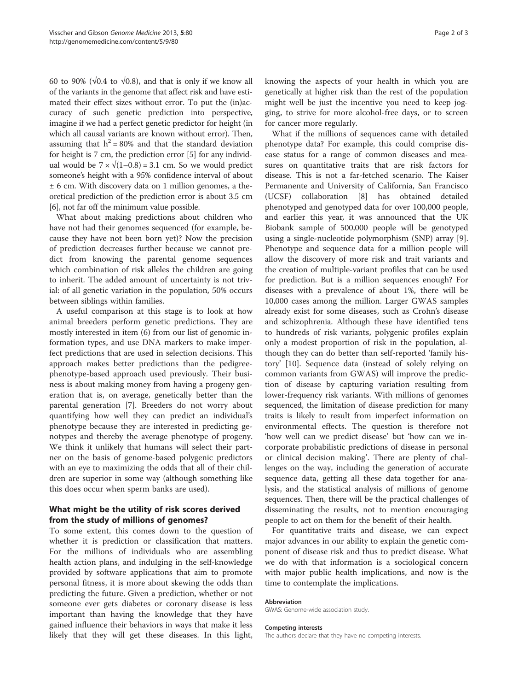60 to 90% ( $\sqrt{0.4}$  to  $\sqrt{0.8}$ ), and that is only if we know all of the variants in the genome that affect risk and have estimated their effect sizes without error. To put the (in)accuracy of such genetic prediction into perspective, imagine if we had a perfect genetic predictor for height (in which all causal variants are known without error). Then, assuming that  $h^2 = 80\%$  and that the standard deviation for height is 7 cm, the prediction error [[5\]](#page-2-0) for any individual would be  $7 \times \sqrt{(1-0.8)} = 3.1$  cm. So we would predict someone's height with a 95% confidence interval of about ± 6 cm. With discovery data on 1 million genomes, a theoretical prediction of the prediction error is about 3.5 cm [[6\]](#page-2-0), not far off the minimum value possible.

What about making predictions about children who have not had their genomes sequenced (for example, because they have not been born yet)? Now the precision of prediction decreases further because we cannot predict from knowing the parental genome sequences which combination of risk alleles the children are going to inherit. The added amount of uncertainty is not trivial: of all genetic variation in the population, 50% occurs between siblings within families.

A useful comparison at this stage is to look at how animal breeders perform genetic predictions. They are mostly interested in item (6) from our list of genomic information types, and use DNA markers to make imperfect predictions that are used in selection decisions. This approach makes better predictions than the pedigreephenotype-based approach used previously. Their business is about making money from having a progeny generation that is, on average, genetically better than the parental generation [\[7](#page-2-0)]. Breeders do not worry about quantifying how well they can predict an individual's phenotype because they are interested in predicting genotypes and thereby the average phenotype of progeny. We think it unlikely that humans will select their partner on the basis of genome-based polygenic predictors with an eye to maximizing the odds that all of their children are superior in some way (although something like this does occur when sperm banks are used).

### What might be the utility of risk scores derived from the study of millions of genomes?

To some extent, this comes down to the question of whether it is prediction or classification that matters. For the millions of individuals who are assembling health action plans, and indulging in the self-knowledge provided by software applications that aim to promote personal fitness, it is more about skewing the odds than predicting the future. Given a prediction, whether or not someone ever gets diabetes or coronary disease is less important than having the knowledge that they have gained influence their behaviors in ways that make it less likely that they will get these diseases. In this light,

knowing the aspects of your health in which you are genetically at higher risk than the rest of the population might well be just the incentive you need to keep jogging, to strive for more alcohol-free days, or to screen for cancer more regularly.

What if the millions of sequences came with detailed phenotype data? For example, this could comprise disease status for a range of common diseases and measures on quantitative traits that are risk factors for disease. This is not a far-fetched scenario. The Kaiser Permanente and University of California, San Francisco (UCSF) collaboration [[8\]](#page-2-0) has obtained detailed phenotyped and genotyped data for over 100,000 people, and earlier this year, it was announced that the UK Biobank sample of 500,000 people will be genotyped using a single-nucleotide polymorphism (SNP) array [\[9](#page-2-0)]. Phenotype and sequence data for a million people will allow the discovery of more risk and trait variants and the creation of multiple-variant profiles that can be used for prediction. But is a million sequences enough? For diseases with a prevalence of about 1%, there will be 10,000 cases among the million. Larger GWAS samples already exist for some diseases, such as Crohn's disease and schizophrenia. Although these have identified tens to hundreds of risk variants, polygenic profiles explain only a modest proportion of risk in the population, although they can do better than self-reported 'family history' [\[10](#page-2-0)]. Sequence data (instead of solely relying on common variants from GWAS) will improve the prediction of disease by capturing variation resulting from lower-frequency risk variants. With millions of genomes sequenced, the limitation of disease prediction for many traits is likely to result from imperfect information on environmental effects. The question is therefore not 'how well can we predict disease' but 'how can we incorporate probabilistic predictions of disease in personal or clinical decision making'. There are plenty of challenges on the way, including the generation of accurate sequence data, getting all these data together for analysis, and the statistical analysis of millions of genome sequences. Then, there will be the practical challenges of disseminating the results, not to mention encouraging people to act on them for the benefit of their health.

For quantitative traits and disease, we can expect major advances in our ability to explain the genetic component of disease risk and thus to predict disease. What we do with that information is a sociological concern with major public health implications, and now is the time to contemplate the implications.

#### Abbreviation

GWAS: Genome-wide association study.

#### Competing interests

The authors declare that they have no competing interests.